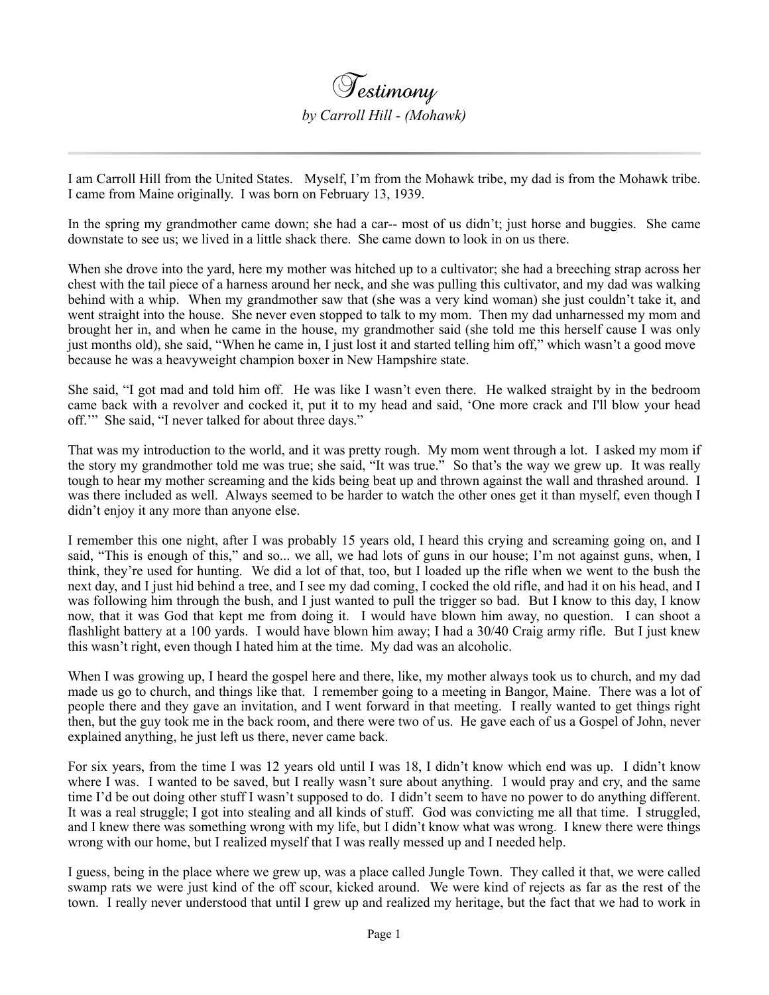I am Carroll Hill from the United States. Myself, I'm from the Mohawk tribe, my dad is from the Mohawk tribe. I came from Maine originally. I was born on February 13, 1939.

In the spring my grandmother came down; she had a car-- most of us didn't; just horse and buggies. She came downstate to see us; we lived in a little shack there. She came down to look in on us there.

When she drove into the yard, here my mother was hitched up to a cultivator; she had a breeching strap across her chest with the tail piece of a harness around her neck, and she was pulling this cultivator, and my dad was walking behind with a whip. When my grandmother saw that (she was a very kind woman) she just couldn't take it, and went straight into the house. She never even stopped to talk to my mom. Then my dad unharnessed my mom and brought her in, and when he came in the house, my grandmother said (she told me this herself cause I was only just months old), she said, "When he came in, I just lost it and started telling him off," which wasn't a good move because he was a heavyweight champion boxer in New Hampshire state.

She said, "I got mad and told him off. He was like I wasn't even there. He walked straight by in the bedroom came back with a revolver and cocked it, put it to my head and said, 'One more crack and I'll blow your head off.'" She said, "I never talked for about three days."

That was my introduction to the world, and it was pretty rough. My mom went through a lot. I asked my mom if the story my grandmother told me was true; she said, "It was true." So that's the way we grew up. It was really tough to hear my mother screaming and the kids being beat up and thrown against the wall and thrashed around. I was there included as well. Always seemed to be harder to watch the other ones get it than myself, even though I didn't enjoy it any more than anyone else.

I remember this one night, after I was probably 15 years old, I heard this crying and screaming going on, and I said, "This is enough of this," and so... we all, we had lots of guns in our house; I'm not against guns, when, I think, they're used for hunting. We did a lot of that, too, but I loaded up the rifle when we went to the bush the next day, and I just hid behind a tree, and I see my dad coming, I cocked the old rifle, and had it on his head, and I was following him through the bush, and I just wanted to pull the trigger so bad. But I know to this day, I know now, that it was God that kept me from doing it. I would have blown him away, no question. I can shoot a flashlight battery at a 100 yards. I would have blown him away; I had a 30/40 Craig army rifle. But I just knew this wasn't right, even though I hated him at the time. My dad was an alcoholic.

When I was growing up, I heard the gospel here and there, like, my mother always took us to church, and my dad made us go to church, and things like that. I remember going to a meeting in Bangor, Maine. There was a lot of people there and they gave an invitation, and I went forward in that meeting. I really wanted to get things right then, but the guy took me in the back room, and there were two of us. He gave each of us a Gospel of John, never explained anything, he just left us there, never came back.

For six years, from the time I was 12 years old until I was 18, I didn't know which end was up. I didn't know where I was. I wanted to be saved, but I really wasn't sure about anything. I would pray and cry, and the same time I'd be out doing other stuff I wasn't supposed to do. I didn't seem to have no power to do anything different. It was a real struggle; I got into stealing and all kinds of stuff. God was convicting me all that time. I struggled, and I knew there was something wrong with my life, but I didn't know what was wrong. I knew there were things wrong with our home, but I realized myself that I was really messed up and I needed help.

I guess, being in the place where we grew up, was a place called Jungle Town. They called it that, we were called swamp rats we were just kind of the off scour, kicked around. We were kind of rejects as far as the rest of the town. I really never understood that until I grew up and realized my heritage, but the fact that we had to work in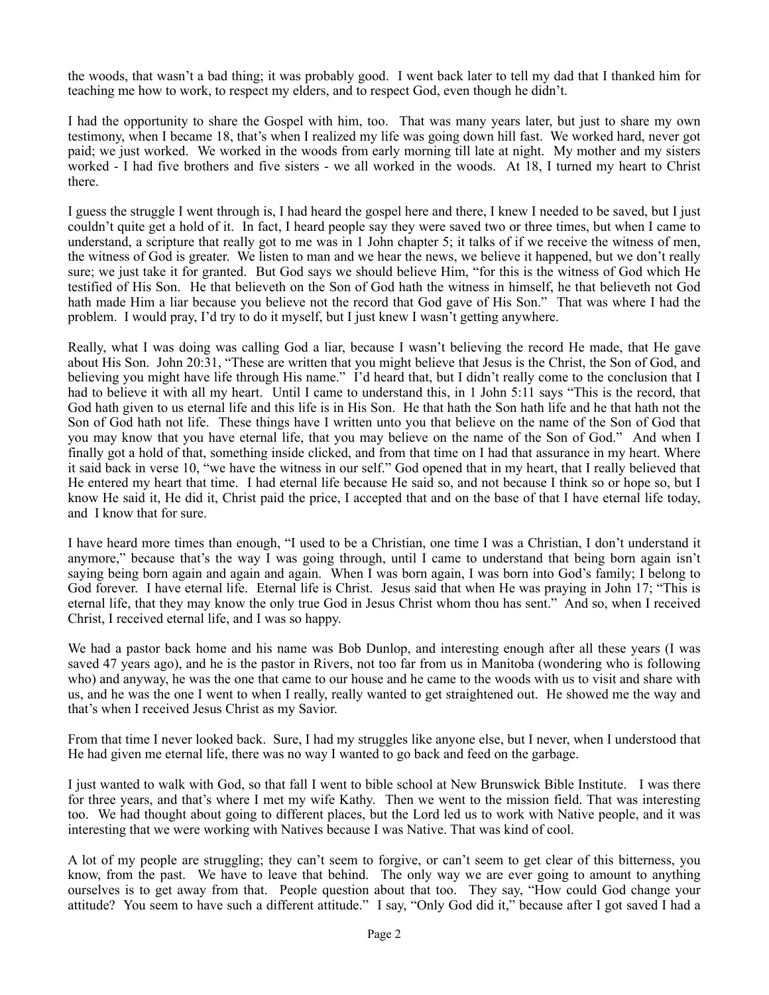the woods, that wasn't a bad thing; it was probably good. I went back later to tell my dad that I thanked him for teaching me how to work, to respect my elders, and to respect God, even though he didn't.

I had the opportunity to share the Gospel with him, too. That was many years later, but just to share my own testimony, when I became 18, that's when I realized my life was going down hill fast. We worked hard, never got paid; we just worked. We worked in the woods from early morning till late at night. My mother and my sisters worked - I had five brothers and five sisters - we all worked in the woods. At 18, I turned my heart to Christ there.

I guess the struggle I went through is, I had heard the gospel here and there, I knew I needed to be saved, but I just couldn't quite get a hold of it. In fact, I heard people say they were saved two or three times, but when I came to understand, a scripture that really got to me was in 1 John chapter 5; it talks of if we receive the witness of men, the witness of God is greater. We listen to man and we hear the news, we believe it happened, but we don't really sure; we just take it for granted. But God says we should believe Him, "for this is the witness of God which He testified of His Son. He that believeth on the Son of God hath the witness in himself, he that believeth not God hath made Him a liar because you believe not the record that God gave of His Son." That was where I had the problem. I would pray, I'd try to do it myself, but I just knew I wasn't getting anywhere.

Really, what I was doing was calling God a liar, because I wasn't believing the record He made, that He gave about His Son. John 20:31, "These are written that you might believe that Jesus is the Christ, the Son of God, and believing you might have life through His name." I'd heard that, but I didn't really come to the conclusion that I had to believe it with all my heart. Until I came to understand this, in 1 John 5:11 says "This is the record, that God hath given to us eternal life and this life is in His Son. He that hath the Son hath life and he that hath not the Son of God hath not life. These things have I written unto you that believe on the name of the Son of God that you may know that you have eternal life, that you may believe on the name of the Son of God." And when I finally got a hold of that, something inside clicked, and from that time on I had that assurance in my heart. Where it said back in verse 10, "we have the witness in our self." God opened that in my heart, that I really believed that He entered my heart that time. I had eternal life because He said so, and not because I think so or hope so, but I know He said it, He did it, Christ paid the price, I accepted that and on the base of that I have eternal life today, and I know that for sure.

I have heard more times than enough, "I used to be a Christian, one time I was a Christian, I don't understand it anymore," because that's the way I was going through, until I came to understand that being born again isn't saying being born again and again and again. When I was born again, I was born into God's family; I belong to God forever. I have eternal life. Eternal life is Christ. Jesus said that when He was praying in John 17; "This is eternal life, that they may know the only true God in Jesus Christ whom thou has sent." And so, when I received Christ, I received eternal life, and I was so happy.

We had a pastor back home and his name was Bob Dunlop, and interesting enough after all these years (I was saved 47 years ago), and he is the pastor in Rivers, not too far from us in Manitoba (wondering who is following who) and anyway, he was the one that came to our house and he came to the woods with us to visit and share with us, and he was the one I went to when I really, really wanted to get straightened out. He showed me the way and that's when I received Jesus Christ as my Savior.

From that time I never looked back. Sure, I had my struggles like anyone else, but I never, when I understood that He had given me eternal life, there was no way I wanted to go back and feed on the garbage.

I just wanted to walk with God, so that fall I went to bible school at New Brunswick Bible Institute. I was there for three years, and that's where I met my wife Kathy. Then we went to the mission field. That was interesting too. We had thought about going to different places, but the Lord led us to work with Native people, and it was interesting that we were working with Natives because I was Native. That was kind of cool.

A lot of my people are struggling; they can't seem to forgive, or can't seem to get clear of this bitterness, you know, from the past. We have to leave that behind. The only way we are ever going to amount to anything ourselves is to get away from that. People question about that too. They say, "How could God change your attitude? You seem to have such a different attitude." I say, "Only God did it," because after I got saved I had a